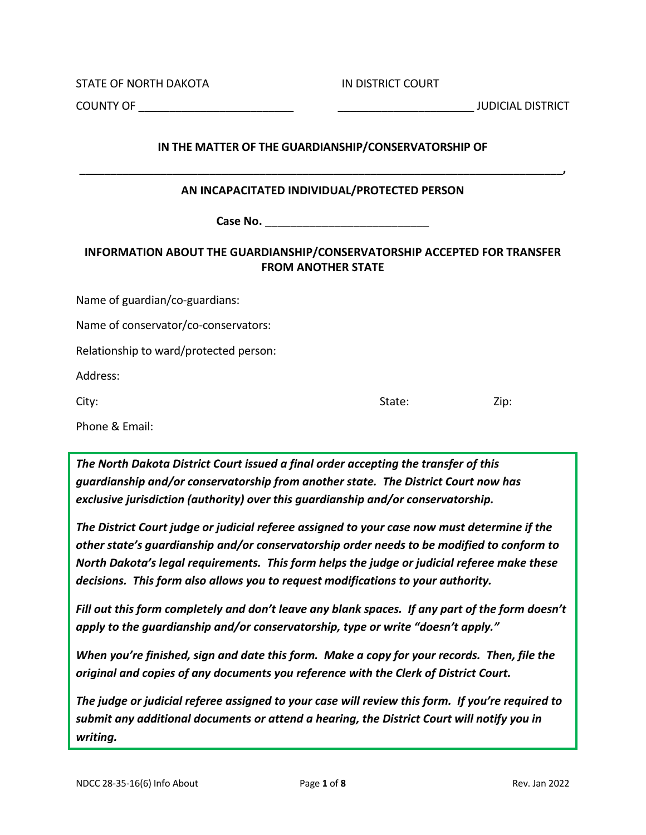STATE OF NORTH DAKOTA **IN DISTRICT COURT** 

COUNTY OF \_\_\_\_\_\_\_\_\_\_\_\_\_\_\_\_\_\_\_\_\_\_\_\_\_ \_\_\_\_\_\_\_\_\_\_\_\_\_\_\_\_\_\_\_\_\_\_ JUDICIAL DISTRICT

## **IN THE MATTER OF THE GUARDIANSHIP/CONSERVATORSHIP OF**

\_\_\_\_\_\_\_\_\_\_\_\_\_\_\_\_\_\_\_\_\_\_\_\_\_\_\_\_\_\_\_\_\_\_\_\_\_\_\_\_\_\_\_\_\_\_\_\_\_\_\_\_\_\_\_\_\_\_\_\_\_\_\_\_\_\_\_\_\_\_\_\_\_\_\_\_\_\_**,**

### **AN INCAPACITATED INDIVIDUAL/PROTECTED PERSON**

Case No. <u>\_\_\_\_\_\_\_\_\_\_\_\_\_\_\_\_\_\_\_\_\_\_</u>

# **INFORMATION ABOUT THE GUARDIANSHIP/CONSERVATORSHIP ACCEPTED FOR TRANSFER FROM ANOTHER STATE**

Name of guardian/co-guardians:

Name of conservator/co-conservators:

Relationship to ward/protected person:

Address:

City: State: Zip:

Phone & Email:

*The North Dakota District Court issued a final order accepting the transfer of this guardianship and/or conservatorship from another state. The District Court now has exclusive jurisdiction (authority) over this guardianship and/or conservatorship.*

*The District Court judge or judicial referee assigned to your case now must determine if the other state's guardianship and/or conservatorship order needs to be modified to conform to North Dakota's legal requirements. This form helps the judge or judicial referee make these decisions. This form also allows you to request modifications to your authority.*

*Fill out this form completely and don't leave any blank spaces. If any part of the form doesn't apply to the guardianship and/or conservatorship, type or write "doesn't apply."*

*When you're finished, sign and date this form. Make a copy for your records. Then, file the original and copies of any documents you reference with the Clerk of District Court.*

*The judge or judicial referee assigned to your case will review this form. If you're required to submit any additional documents or attend a hearing, the District Court will notify you in writing.*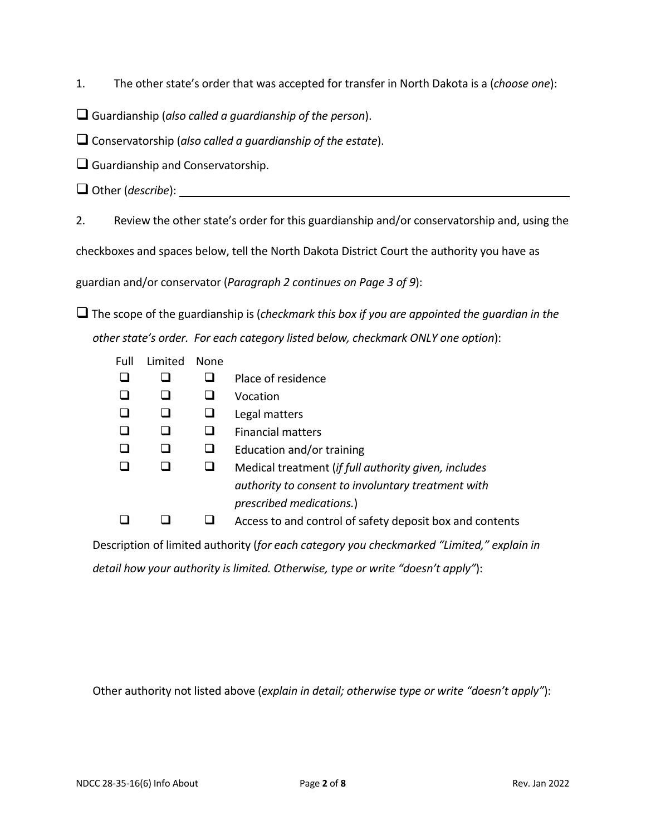1. The other state's order that was accepted for transfer in North Dakota is a (*choose one*):

Guardianship (*also called a guardianship of the person*).

Conservatorship (*also called a guardianship of the estate*).

 $\Box$  Guardianship and Conservatorship.

Other (*describe*):

2. Review the other state's order for this guardianship and/or conservatorship and, using the

checkboxes and spaces below, tell the North Dakota District Court the authority you have as

guardian and/or conservator (*Paragraph 2 continues on Page 3 of 9*):

 The scope of the guardianship is (*checkmark this box if you are appointed the guardian in the other state's order. For each category listed below, checkmark ONLY one option*):

| Full | Limited | None |                                                          |
|------|---------|------|----------------------------------------------------------|
|      |         |      | Place of residence                                       |
|      |         |      | Vocation                                                 |
|      |         |      | Legal matters                                            |
|      |         |      | <b>Financial matters</b>                                 |
|      |         |      | Education and/or training                                |
|      |         |      | Medical treatment (if full authority given, includes     |
|      |         |      | authority to consent to involuntary treatment with       |
|      |         |      | prescribed medications.)                                 |
|      |         |      | Access to and control of safety deposit box and contents |

 Description of limited authority (*for each category you checkmarked "Limited," explain in detail how your authority is limited. Otherwise, type or write "doesn't apply"*):

Other authority not listed above (*explain in detail; otherwise type or write "doesn't apply"*):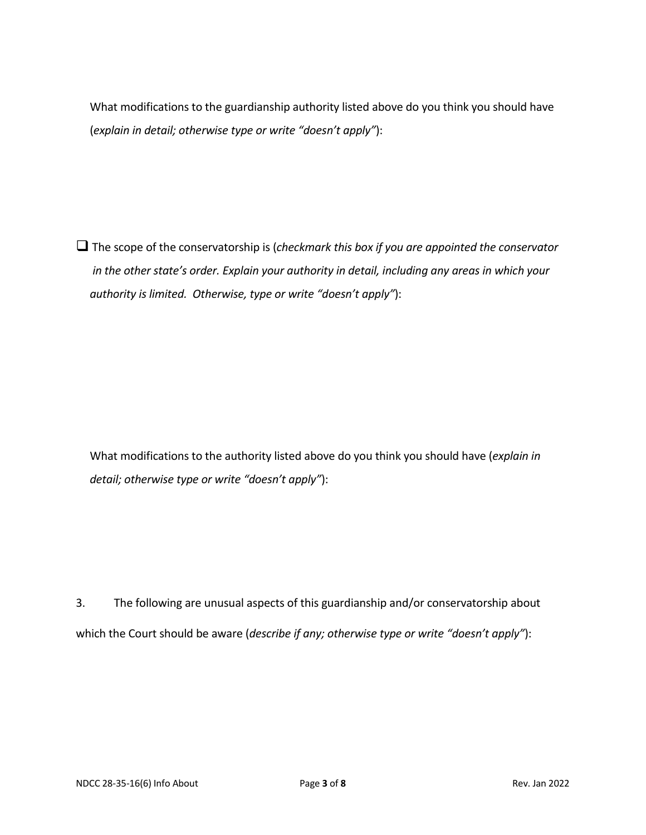What modifications to the guardianship authority listed above do you think you should have (*explain in detail; otherwise type or write "doesn't apply"*):

 The scope of the conservatorship is (*checkmark this box if you are appointed the conservator in the other state's order. Explain your authority in detail, including any areas in which your authority is limited. Otherwise, type or write "doesn't apply"*):

 What modifications to the authority listed above do you think you should have (*explain in detail; otherwise type or write "doesn't apply"*):

3. The following are unusual aspects of this guardianship and/or conservatorship about which the Court should be aware (*describe if any; otherwise type or write "doesn't apply"*):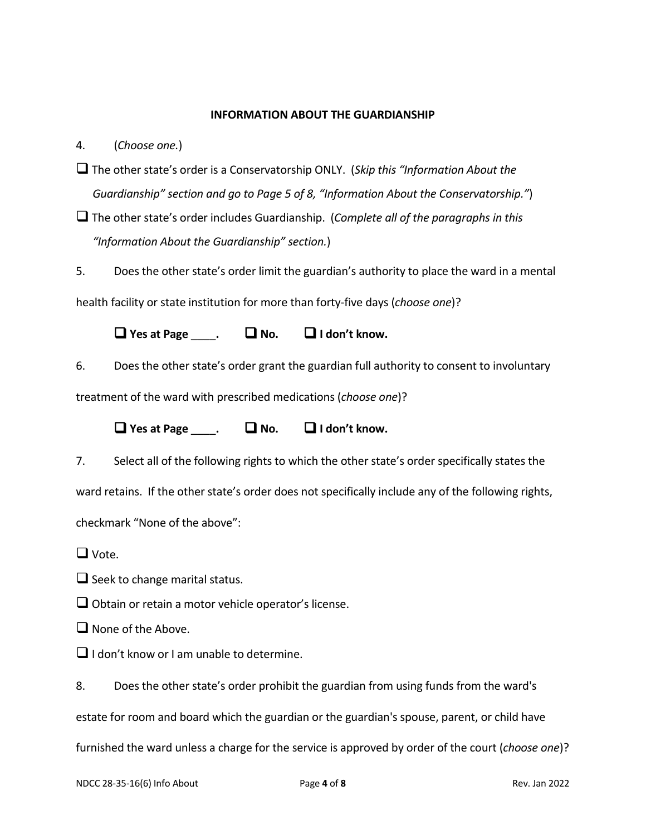#### **INFORMATION ABOUT THE GUARDIANSHIP**

4. (*Choose one.*)

- The other state's order is a Conservatorship ONLY. (*Skip this "Information About the Guardianship" section and go to Page 5 of 8, "Information About the Conservatorship."*)
- The other state's order includes Guardianship. (*Complete all of the paragraphs in this "Information About the Guardianship" section.*)
- 5. Does the other state's order limit the guardian's authority to place the ward in a mental

health facility or state institution for more than forty-five days (*choose one*)?

**Yes at Page** \_\_\_\_**. No. I don't know.**

6. Does the other state's order grant the guardian full authority to consent to involuntary treatment of the ward with prescribed medications (*choose one*)?

**Yes at Page** \_\_\_\_**. No. I don't know.**

7. Select all of the following rights to which the other state's order specifically states the ward retains. If the other state's order does not specifically include any of the following rights, checkmark "None of the above":

 $\Box$  Vote.

 $\Box$  Seek to change marital status.

 $\Box$  Obtain or retain a motor vehicle operator's license.

 $\Box$  None of the Above.

 $\Box$  I don't know or I am unable to determine.

8. Does the other state's order prohibit the guardian from using funds from the ward's

estate for room and board which the guardian or the guardian's spouse, parent, or child have

furnished the ward unless a charge for the service is approved by order of the court (*choose one*)?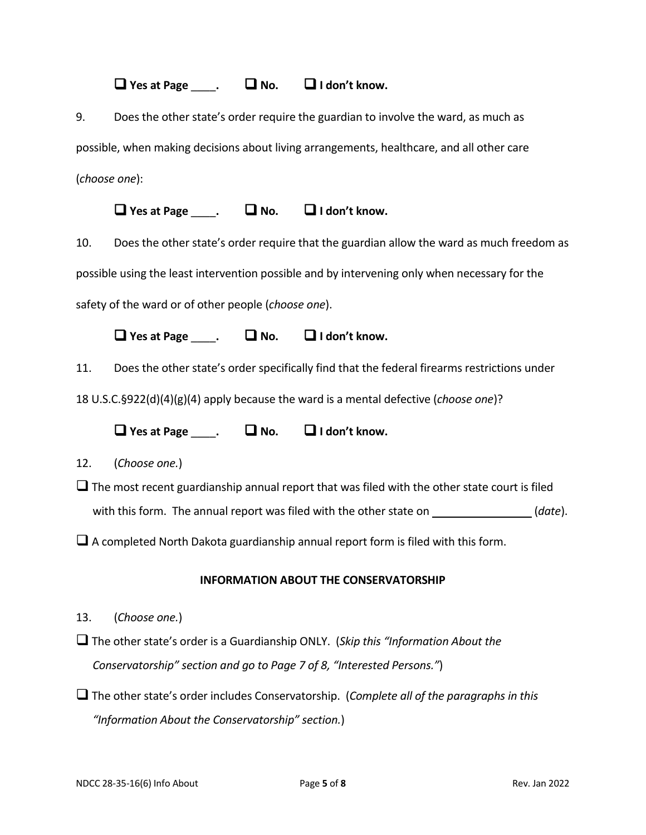$\Box$  Yes at Page  $\Box$  .  $\Box$  No.  $\Box$  I don't know.

9. Does the other state's order require the guardian to involve the ward, as much as possible, when making decisions about living arrangements, healthcare, and all other care (*choose one*):

**Yes at Page** \_\_\_\_**. No. I don't know.**

10. Does the other state's order require that the guardian allow the ward as much freedom as possible using the least intervention possible and by intervening only when necessary for the safety of the ward or of other people (*choose one*).

**Yes at Page** \_\_\_\_**. No. I don't know.**

11. Does the other state's order specifically find that the federal firearms restrictions under

18 U.S.C.§922(d)(4)(g)(4) apply because the ward is a mental defective (*choose one*)?

**Yes at Page** \_\_\_\_**. No. I don't know.**

12. (*Choose one.*)

 $\Box$  The most recent guardianship annual report that was filed with the other state court is filed with this form. The annual report was filed with the other state on *\_\_\_\_\_\_\_\_\_\_\_\_\_\_\_\_\_\_(date***)**.

 $\Box$  A completed North Dakota guardianship annual report form is filed with this form.

### **INFORMATION ABOUT THE CONSERVATORSHIP**

- 13. (*Choose one.*)
- The other state's order is a Guardianship ONLY. (*Skip this "Information About the Conservatorship" section and go to Page 7 of 8, "Interested Persons."*)
- The other state's order includes Conservatorship. (*Complete all of the paragraphs in this "Information About the Conservatorship" section.*)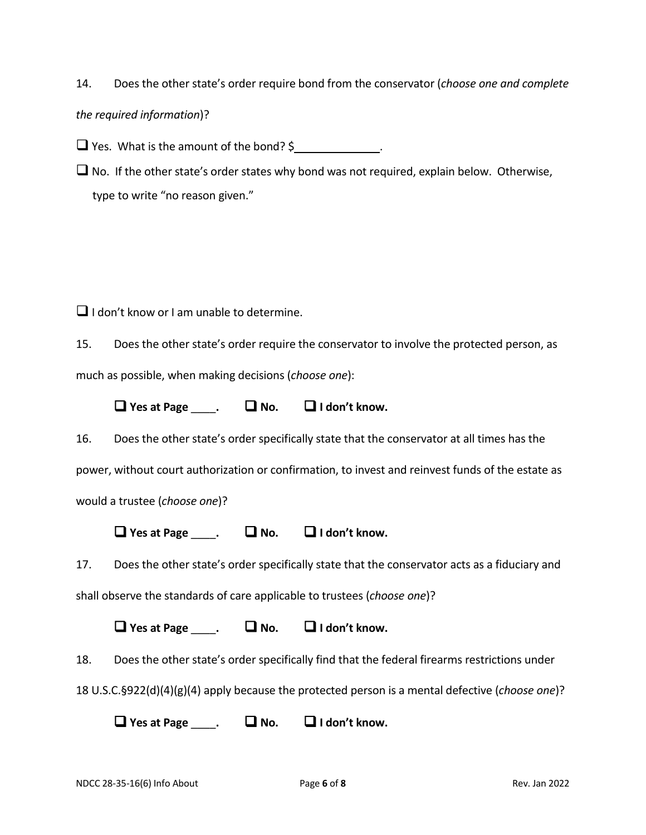14. Does the other state's order require bond from the conservator (*choose one and complete* 

*the required information*)?

 $\Box$  Yes. What is the amount of the bond? \$

 $\Box$  No. If the other state's order states why bond was not required, explain below. Otherwise, type to write "no reason given."

 $\Box$  I don't know or I am unable to determine.

15. Does the other state's order require the conservator to involve the protected person, as much as possible, when making decisions (*choose one*):

**Yes at Page** \_\_\_\_**. No. I don't know.**

16. Does the other state's order specifically state that the conservator at all times has the power, without court authorization or confirmation, to invest and reinvest funds of the estate as would a trustee (*choose one*)?

 $\Box$  Yes at Page  $\Box$   $\Box$  No.  $\Box$  I don't know.

17. Does the other state's order specifically state that the conservator acts as a fiduciary and shall observe the standards of care applicable to trustees (*choose one*)?

 $\Box$  Yes at Page  $\Box$   $\Box$  No.  $\Box$  I don't know.

18. Does the other state's order specifically find that the federal firearms restrictions under

18 U.S.C.§922(d)(4)(g)(4) apply because the protected person is a mental defective (*choose one*)?

**Yes at Page** \_\_\_\_**. No. I don't know.**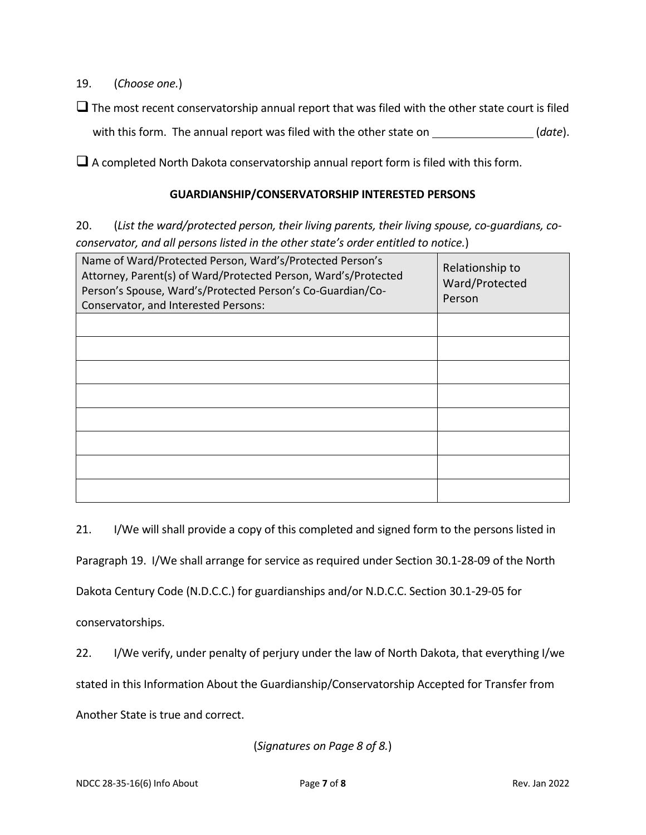19. (*Choose one.*)

 $\Box$  The most recent conservatorship annual report that was filed with the other state court is filed with this form. The annual report was filed with the other state on <u>said and all date</u>).

 $\Box$  A completed North Dakota conservatorship annual report form is filed with this form.

## **GUARDIANSHIP/CONSERVATORSHIP INTERESTED PERSONS**

20. (*List the ward/protected person, their living parents, their living spouse, co-guardians, coconservator, and all persons listed in the other state's order entitled to notice.*)

| Name of Ward/Protected Person, Ward's/Protected Person's<br>Attorney, Parent(s) of Ward/Protected Person, Ward's/Protected<br>Person's Spouse, Ward's/Protected Person's Co-Guardian/Co-<br>Conservator, and Interested Persons: | Relationship to<br>Ward/Protected<br>Person |
|----------------------------------------------------------------------------------------------------------------------------------------------------------------------------------------------------------------------------------|---------------------------------------------|
|                                                                                                                                                                                                                                  |                                             |
|                                                                                                                                                                                                                                  |                                             |
|                                                                                                                                                                                                                                  |                                             |
|                                                                                                                                                                                                                                  |                                             |
|                                                                                                                                                                                                                                  |                                             |
|                                                                                                                                                                                                                                  |                                             |
|                                                                                                                                                                                                                                  |                                             |
|                                                                                                                                                                                                                                  |                                             |

21. I/We will shall provide a copy of this completed and signed form to the persons listed in

Paragraph 19. I/We shall arrange for service as required under Section 30.1-28-09 of the North

Dakota Century Code (N.D.C.C.) for guardianships and/or N.D.C.C. Section 30.1-29-05 for

conservatorships.

22. I/We verify, under penalty of perjury under the law of North Dakota, that everything I/we stated in this Information About the Guardianship/Conservatorship Accepted for Transfer from Another State is true and correct.

(*Signatures on Page 8 of 8.*)